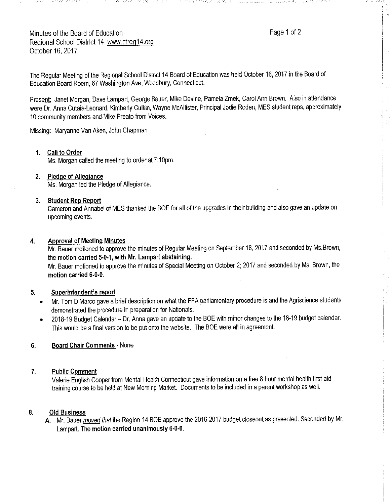Minutes of the Board of Education **Page 1** of 2 Regional School District 14 www.ctreg14.org October 16, 2017

The Regular Meeting of the.Regional School District 14 Board of Education was held October 16, 2017 in the Board of Education Board Room, 67 Washington Ave, Woodbury, Connecticut.

Present: Janet Morgan, Dave Lampart, George Bauer, Mike Devine, Pamela Zmek, Carol Ann Brown. Also in attendance were Dr. Anna Cutaia-Leonard, Kimberly Culkin, Wayne McAllister, Principal Jodie Roden, MES student reps, approximately 10 community members and Mike Preato from Voices.

----1

Missing: Maryanne Van Aken, John Chapman

## **1. Call to Order**

Ms. Morgan called the meeting to order at 7:10pm.

## **2. Pledge of Allegiance**

Ms. Morgan led the Pledge of Allegiance.

## **3. Student Rep Report**

Cameron and Annabel of MES thanked the BOE for all of the upgrades in their building and also gave an update on upcoming events.

## **4. Approval of Meeting Minutes**

Mr. Bauer motioned to approve the minutes of Regular Meeting on September 18, 2017 and seconded by Ms.Brown, the **motion carried 5-0-1, with Mr. Lampart abstaining.** 

Mr. Bauer motioned to approve the minutes of Special Meeting on October 2; 2017 and seconded by Ms. Brown, the **motion carried 6-0-0.** 

### **5. Superintendent's report**

- Mr. Tom DiMarco gave a brief description on what the FFA parliamentary procedure is and the Agriscience students demonstrated the procedure in preparation for Nationals.
- 2018-19 Budget Calendar Dr. Anna gave an update to the BOE with minor changes to the 18-19 budget calendar. This would be afinal version to be put onto the website. The BOE were all in agreement.

## **6. Board Chair Comments** - None

### **7. Public Comment**

Valerie English Cooper from Mental Health Connecticut gave information on afree 8 hour mental health first aid training course to be held at New Morning Market. Documents to be included in aparent workshop as well.

### **8. Old Business**

A. Mr. Bauer moved that the Region 14 BOE approve the 2016-2017 budget closeout as presented. Seconded by Mr. Lampart. The **motion carried unanimously 6-0-0.**